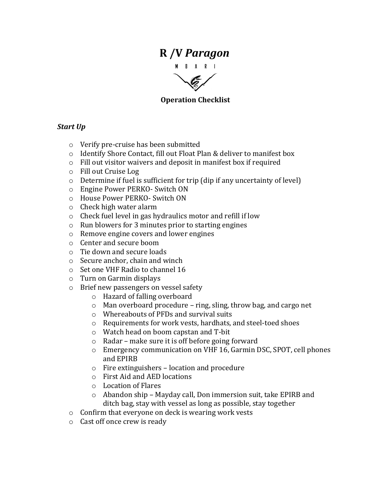# **R /V** *Paragon*



### **Operation Checklist**

### **Start** Up

- $\circ$  Verify pre-cruise has been submitted
- o Identify Shore Contact, fill out Float Plan & deliver to manifest box
- $\circ$  Fill out visitor waivers and deposit in manifest box if required
- o Fill out Cruise Log
- $\circ$  Determine if fuel is sufficient for trip (dip if any uncertainty of level)
- $\circ$  Engine Power PERKO- Switch ON
- o House Power PERKO- Switch ON
- $\circ$  Check high water alarm
- $\circ$  Check fuel level in gas hydraulics motor and refill if low
- $\circ$  Run blowers for 3 minutes prior to starting engines
- o Remove engine covers and lower engines
- o Center and secure boom
- $\circ$  Tie down and secure loads
- $\circ$  Secure anchor, chain and winch
- o Set one VHF Radio to channel 16
- $\circ$  Turn on Garmin displays
- $\circ$  Brief new passengers on vessel safety
	- o Hazard of falling overboard
	- $\circ$  Man overboard procedure ring, sling, throw bag, and cargo net
	- $\circ$  Whereabouts of PFDs and survival suits
	- $\circ$  Requirements for work vests, hardhats, and steel-toed shoes
	- o Watch head on boom capstan and T-bit
	- $\circ$  Radar make sure it is off before going forward
	- $\circ$  Emergency communication on VHF 16, Garmin DSC, SPOT, cell phones and EPIRB
	- $\circ$  Fire extinguishers location and procedure
	- $\circ$  First Aid and AED locations
	- $\circ$  Location of Flares
	- $\circ$  Abandon ship Mayday call, Don immersion suit, take EPIRB and ditch bag, stay with vessel as long as possible, stay together
- $\circ$  Confirm that everyone on deck is wearing work vests
- $\circ$  Cast off once crew is ready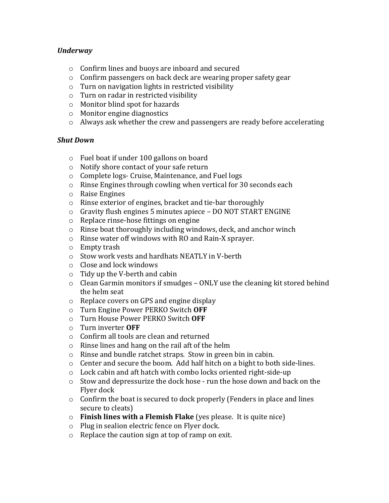### *Underway*

- $\circ$  Confirm lines and buoys are inboard and secured
- $\circ$  Confirm passengers on back deck are wearing proper safety gear
- $\circ$  Turn on navigation lights in restricted visibility
- $\circ$  Turn on radar in restricted visibility
- $\circ$  Monitor blind spot for hazards
- $\circ$  Monitor engine diagnostics
- $\circ$  Always ask whether the crew and passengers are ready before accelerating

### *Shut Down*

- $\circ$  Fuel boat if under 100 gallons on board
- $\circ$  Notify shore contact of your safe return
- $\circ$  Complete logs- Cruise, Maintenance, and Fuel logs
- $\circ$  Rinse Engines through cowling when vertical for 30 seconds each
- $\circ$  Raise Engines
- $\circ$  Rinse exterior of engines, bracket and tie-bar thoroughly
- $\circ$  Gravity flush engines 5 minutes apiece DO NOT START ENGINE
- $\circ$  Replace rinse-hose fittings on engine
- $\circ$  Rinse boat thoroughly including windows, deck, and anchor winch
- $\circ$  Rinse water off windows with RO and Rain-X sprayer.
- $\circ$  Empty trash
- $\circ$  Stow work vests and hardhats NEATLY in V-berth
- $\circ$  Close and lock windows
- $\circ$  Tidy up the V-berth and cabin
- $\circ$  Clean Garmin monitors if smudges ONLY use the cleaning kit stored behind the helm seat
- $\circ$  Replace covers on GPS and engine display
- o Turn Engine Power PERKO Switch **OFF**
- o Turn House Power PERKO Switch **OFF**
- o Turn inverter **OFF**
- $\circ$  Confirm all tools are clean and returned
- $\circ$  Rinse lines and hang on the rail aft of the helm
- $\circ$  Rinse and bundle ratchet straps. Stow in green bin in cabin.
- $\circ$  Center and secure the boom. Add half hitch on a bight to both side-lines.
- $\circ$  Lock cabin and aft hatch with combo locks oriented right-side-up
- $\circ$  Stow and depressurize the dock hose run the hose down and back on the Flyer dock
- $\circ$  Confirm the boat is secured to dock properly (Fenders in place and lines secure to cleats)
- o **Finish lines with a Flemish Flake** (yes please. It is quite nice)
- $\circ$  Plug in sealion electric fence on Flyer dock.
- $\circ$  Replace the caution sign at top of ramp on exit.